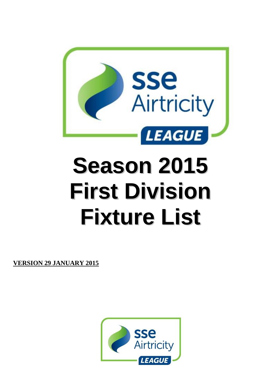

# **Season 2015 First Division Fixture List**

**VERSION 29 JANUARY 2015**

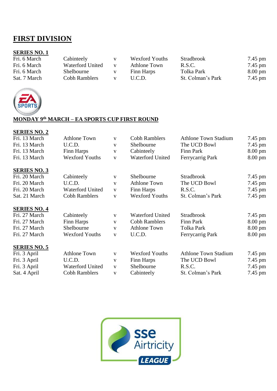## **FIRST DIVISION**

## **SERIES NO. 1**

| Cabinteely                                                             |                   |
|------------------------------------------------------------------------|-------------------|
| Fri. 6 March<br>Waterford United<br><b>Athlone Town</b><br>R.S.C.<br>V | $7.45$ pm         |
| Fri. 6 March<br>Tolka Park<br>Shelbourne<br>Finn Harps                 | $8.00 \text{ pm}$ |
| St. Colman's Park<br>Sat. 7 March<br>Cobh Ramblers<br>U.C.D.<br>V      | $7.45$ pm         |



### **MONDAY 9 th MARCH – EA SPORTS CUP FIRST ROUND**

| Fri. 13 March       | <b>Athlone Town</b>     | $\mathbf{V}$ | <b>Cobh Ramblers</b>    | <b>Athlone Town Stadium</b> | 7.45 pm           |
|---------------------|-------------------------|--------------|-------------------------|-----------------------------|-------------------|
| Fri. 13 March       | U.C.D.                  | $\mathbf{V}$ | Shelbourne              | The UCD Bowl                | 7.45 pm           |
| Fri. 13 March       | Finn Harps              | $\mathbf{V}$ | Cabinteely              | Finn Park                   | $8.00 \text{ pm}$ |
| Fri. 13 March       | <b>Wexford Youths</b>   | $\mathbf{V}$ | <b>Waterford United</b> | Ferrycarrig Park            | $8.00 \text{ pm}$ |
| <b>SERIES NO. 3</b> |                         |              |                         |                             |                   |
| Fri. 20 March       | Cabinteely              | V            | Shelbourne              | <b>Stradbrook</b>           | 7.45 pm           |
| Fri. 20 March       | U.C.D.                  | V            | <b>Athlone Town</b>     | The UCD Bowl                | 7.45 pm           |
| Fri. 20 March       | <b>Waterford United</b> | V            | Finn Harps              | R.S.C.                      | 7.45 pm           |
| Sat. 21 March       | <b>Cobh Ramblers</b>    | $\mathbf{V}$ | <b>Wexford Youths</b>   | St. Colman's Park           | 7.45 pm           |
| <b>SERIES NO. 4</b> |                         |              |                         |                             |                   |
| Fri. 27 March       | Cabinteely              | $\mathbf{V}$ | <b>Waterford United</b> | <b>Stradbrook</b>           | 7.45 pm           |
| Fri. 27 March       | Finn Harps              | V            | <b>Cobh Ramblers</b>    | Finn Park                   | $8.00 \text{ pm}$ |
| Fri. 27 March       | Shelbourne              | $\mathbf{V}$ | <b>Athlone Town</b>     | Tolka Park                  | $8.00 \text{ pm}$ |
| Fri. 27 March       | <b>Wexford Youths</b>   | $\mathbf{V}$ | U.C.D.                  | Ferrycarrig Park            | $8.00 \text{ pm}$ |
| <b>SERIES NO. 5</b> |                         |              |                         |                             |                   |
| Fri. 3 April        | <b>Athlone Town</b>     | $\mathbf{V}$ | <b>Wexford Youths</b>   | <b>Athlone Town Stadium</b> | 7.45 pm           |
| Fri. 3 April        | U.C.D.                  | V            | Finn Harps              | The UCD Bowl                | $7.45$ pm         |
| Fri. 3 April        | <b>Waterford United</b> | V            | Shelbourne              | R.S.C.                      | $7.45$ pm         |
| Sat. 4 April        | <b>Cobh Ramblers</b>    | $\mathbf{V}$ | Cabinteely              | St. Colman's Park           | $7.45$ pm         |
|                     |                         |              |                         |                             |                   |

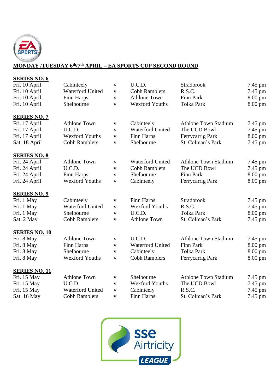

## **MONDAY /TUESDAY 6th/7th APRIL – EA SPORTS CUP SECOND ROUND**

| <b>SERIES NO. 6</b>  |                         |              |                         |                             |         |
|----------------------|-------------------------|--------------|-------------------------|-----------------------------|---------|
| Fri. 10 April        | Cabinteely              | V            | U.C.D.                  | Stradbrook                  | 7.45 pm |
| Fri. 10 April        | Waterford United        | V            | <b>Cobh Ramblers</b>    | R.S.C.                      | 7.45 pm |
| Fri. 10 April        | Finn Harps              | V            | <b>Athlone Town</b>     | <b>Finn Park</b>            | 8.00 pm |
| Fri. 10 April        | Shelbourne              | V            | <b>Wexford Youths</b>   | <b>Tolka Park</b>           | 8.00 pm |
| <b>SERIES NO. 7</b>  |                         |              |                         |                             |         |
| Fri. 17 April        | <b>Athlone Town</b>     | $\mathbf{V}$ | Cabinteely              | <b>Athlone Town Stadium</b> | 7.45 pm |
| Fri. 17 April        | U.C.D.                  | $\mathbf{V}$ | <b>Waterford United</b> | The UCD Bowl                | 7.45 pm |
| Fri. 17 April        | <b>Wexford Youths</b>   | $\mathbf{V}$ | Finn Harps              | Ferrycarrig Park            | 8.00 pm |
| Sat. 18 April        | <b>Cobh Ramblers</b>    | $\mathbf V$  | Shelbourne              | St. Colman's Park           | 7.45 pm |
| <b>SERIES NO. 8</b>  |                         |              |                         |                             |         |
| Fri. 24 April        | <b>Athlone Town</b>     | V            | <b>Waterford United</b> | <b>Athlone Town Stadium</b> | 7.45 pm |
| Fri. 24 April        | U.C.D.                  | V            | <b>Cobh Ramblers</b>    | The UCD Bowl                | 7.45 pm |
| Fri. 24 April        | Finn Harps              | $\mathbf{V}$ | Shelbourne              | <b>Finn Park</b>            | 8.00 pm |
| Fri. 24 April        | <b>Wexford Youths</b>   | V            | Cabinteely              | Ferrycarrig Park            | 8.00 pm |
| <b>SERIES NO. 9</b>  |                         |              |                         |                             |         |
| Fri. 1 May           | Cabinteely              | $\mathbf{V}$ | Finn Harps              | Stradbrook                  | 7.45 pm |
| Fri. 1 May           | Waterford United        | V            | <b>Wexford Youths</b>   | R.S.C.                      | 7.45 pm |
| Fri. 1 May           | Shelbourne              | V            | U.C.D.                  | <b>Tolka Park</b>           | 8.00 pm |
| Sat. 2 May           | <b>Cobh Ramblers</b>    | V            | <b>Athlone Town</b>     | St. Colman's Park           | 7.45 pm |
| <b>SERIES NO. 10</b> |                         |              |                         |                             |         |
| Fri. 8 May           | <b>Athlone Town</b>     | $\mathbf{V}$ | U.C.D.                  | <b>Athlone Town Stadium</b> | 7.45 pm |
| Fri. 8 May           | Finn Harps              | V            | <b>Waterford United</b> | <b>Finn Park</b>            | 8.00 pm |
| Fri. 8 May           | Shelbourne              | $\mathbf{V}$ | Cabinteely              | <b>Tolka Park</b>           | 8.00 pm |
| Fri. 8 May           | <b>Wexford Youths</b>   | $\mathbf{V}$ | <b>Cobh Ramblers</b>    | Ferrycarrig Park            | 8.00 pm |
| <b>SERIES NO. 11</b> |                         |              |                         |                             |         |
| Fri. 15 May          | <b>Athlone Town</b>     | $\mathbf{V}$ | Shelbourne              | <b>Athlone Town Stadium</b> | 7.45 pm |
| Fri. 15 May          | U.C.D.                  | V            | <b>Wexford Youths</b>   | The UCD Bowl                | 7.45 pm |
| Fri. 15 May          | <b>Waterford United</b> | V            | Cabinteely              | R.S.C.                      | 7.45 pm |
| Sat. 16 May          | <b>Cobh Ramblers</b>    | V            | Finn Harps              | St. Colman's Park           | 7.45 pm |
|                      |                         |              |                         |                             |         |

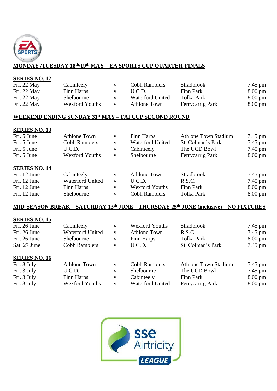

## **MONDAY /TUESDAY 18th/19th MAY – EA SPORTS CUP QUARTER-FINALS**

#### **SERIES NO. 12**

| Fri. 22 May | Cabinteely            | V | Cobh Ramblers           | <b>Stradbrook</b> | 7.45 pm           |
|-------------|-----------------------|---|-------------------------|-------------------|-------------------|
| Fri. 22 May | Finn Harps            |   | U.C.D.                  | Finn Park         | $8.00 \text{ pm}$ |
| Fri. 22 May | Shelbourne            |   | <b>Waterford United</b> | Tolka Park        | $8.00 \text{ pm}$ |
| Fri. 22 May | <b>Wexford Youths</b> |   | Athlone Town            | Ferrycarrig Park  | $8.00 \text{ pm}$ |

#### **WEEKEND ENDING SUNDAY 31st MAY – FAI CUP SECOND ROUND**

## **SERIES NO. 13**

| <b>Athlone Town</b>     | V            | Finn Harps            | <b>Athlone Town Stadium</b> | $7.45$ pm         |
|-------------------------|--------------|-----------------------|-----------------------------|-------------------|
| <b>Cobh Ramblers</b>    | V            | Waterford United      | St. Colman's Park           | $7.45$ pm         |
| U.C.D.                  | V            | Cabinteely            | The UCD Bowl                | $7.45$ pm         |
| <b>Wexford Youths</b>   | V            | Shelbourne            | Ferrycarrig Park            | $8.00 \text{ pm}$ |
|                         |              |                       |                             |                   |
|                         |              |                       |                             |                   |
| Cabinteely              | V            | <b>Athlone Town</b>   | <b>Stradbrook</b>           | 7.45 pm           |
| <b>Waterford United</b> | $\mathbf{V}$ | U.C.D.                | R.S.C.                      | $7.45$ pm         |
| Finn Harps              | V            | <b>Wexford Youths</b> | Finn Park                   | $8.00 \text{ pm}$ |
| Shelbourne              | V            | <b>Cobh Ramblers</b>  | Tolka Park                  | $8.00 \text{ pm}$ |
|                         |              |                       |                             |                   |

## **MID-SEASON BREAK – SATURDAY 13 th JUNE – THURSDAY 25 th JUNE (inclusive) – NO FIXTURES**

| Fri. 26 June         | Cabinteely          | V            | Wexford Youths       | Stradbrook                  | $7.45$ pm         |
|----------------------|---------------------|--------------|----------------------|-----------------------------|-------------------|
| Fri. 26 June         | Waterford United    | V            | <b>Athlone Town</b>  | R.S.C.                      | $7.45$ pm         |
| Fri. 26 June         | Shelbourne          | V            | Finn Harps           | Tolka Park                  | $8.00 \text{ pm}$ |
| Sat. 27 June         | Cobh Ramblers       | V            | U.C.D.               | St. Colman's Park           | $7.45$ pm         |
| <b>SERIES NO. 16</b> |                     |              |                      |                             |                   |
| Fri. 3 July          | <b>Athlone Town</b> | $\mathbf{V}$ | <b>Cobh Ramblers</b> | <b>Athlone Town Stadium</b> | 7.45 pm           |
| Fri. 3 July          | U.C.D.              | v            | Shelbourne           | The UCD Bowl                | $7.45$ pm         |

| Fri. 3 July | U.C.D.                | Shelbourne       | The UCD BOWL     | $1.45$ pm         |
|-------------|-----------------------|------------------|------------------|-------------------|
| Fri. 3 July | Finn Harps            | Cabinteely       | Finn Park        | $8.00 \text{ pm}$ |
| Fri. 3 July | <b>Wexford Youths</b> | Waterford United | Ferrycarrig Park | $8.00 \text{ pm}$ |
|             |                       |                  |                  |                   |

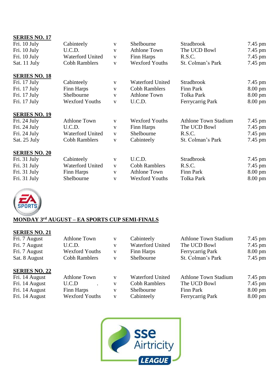| <b>SERIES NO. 17</b> |                         |              |                         |                             |                   |
|----------------------|-------------------------|--------------|-------------------------|-----------------------------|-------------------|
| Fri. 10 July         | Cabinteely              | V            | Shelbourne              | <b>Stradbrook</b>           | $7.45$ pm         |
| Fri. 10 July         | U.C.D.                  | V            | <b>Athlone Town</b>     | The UCD Bowl                | 7.45 pm           |
| Fri. 10 July         | Waterford United        | $\mathbf{V}$ | Finn Harps              | R.S.C.                      | $7.45$ pm         |
| Sat. 11 July         | <b>Cobh Ramblers</b>    | V            | <b>Wexford Youths</b>   | St. Colman's Park           | 7.45 pm           |
| <b>SERIES NO. 18</b> |                         |              |                         |                             |                   |
| Fri. 17 July         | Cabinteely              | V            | <b>Waterford United</b> | <b>Stradbrook</b>           | 7.45 pm           |
| Fri. 17 July         | Finn Harps              | V            | <b>Cobh Ramblers</b>    | Finn Park                   | $8.00 \text{ pm}$ |
| Fri. 17 July         | Shelbourne              | V            | <b>Athlone Town</b>     | <b>Tolka Park</b>           | $8.00 \text{ pm}$ |
| Fri. 17 July         | <b>Wexford Youths</b>   | V            | U.C.D.                  | Ferrycarrig Park            | 8.00 pm           |
| <b>SERIES NO. 19</b> |                         |              |                         |                             |                   |
| Fri. 24 July         | <b>Athlone Town</b>     | V            | <b>Wexford Youths</b>   | <b>Athlone Town Stadium</b> | 7.45 pm           |
| Fri. 24 July         | U.C.D.                  | V            | Finn Harps              | The UCD Bowl                | 7.45 pm           |
| Fri. 24 July         | <b>Waterford United</b> | $\mathbf{V}$ | Shelbourne              | R.S.C.                      | 7.45 pm           |
| Sat. 25 July         | <b>Cobh Ramblers</b>    | V            | Cabinteely              | St. Colman's Park           | 7.45 pm           |
| <b>SERIES NO. 20</b> |                         |              |                         |                             |                   |
| Fri. 31 July         | Cabinteely              | V            | U.C.D.                  | <b>Stradbrook</b>           | 7.45 pm           |
| Fri. 31 July         | <b>Waterford United</b> | V            | <b>Cobh Ramblers</b>    | R.S.C.                      | $7.45$ pm         |
| Fri. 31 July         | Finn Harps              | V            | <b>Athlone Town</b>     | Finn Park                   | $8.00 \text{ pm}$ |
| Fri. 31 July         | Shelbourne              | V            | <b>Wexford Youths</b>   | Tolka Park                  | $8.00 \text{ pm}$ |



## **MONDAY 3 rd AUGUST – EA SPORTS CUP SEMI-FINALS**

| Fri. 7 August        | <b>Athlone Town</b>   | V | Cabinteely              | <b>Athlone Town Stadium</b> | $7.45$ pm         |
|----------------------|-----------------------|---|-------------------------|-----------------------------|-------------------|
| Fri. 7 August        | U.C.D.                | V | <b>Waterford United</b> | The UCD Bowl                | $7.45$ pm         |
| Fri. 7 August        | <b>Wexford Youths</b> | V | Finn Harps              | Ferrycarrig Park            | $8.00 \text{ pm}$ |
| Sat. 8 August        | <b>Cobh Ramblers</b>  | V | Shelbourne              | St. Colman's Park           | $7.45$ pm         |
| <b>SERIES NO. 22</b> |                       |   |                         |                             |                   |
| Fri. 14 August       | <b>Athlone Town</b>   | V | <b>Waterford United</b> | <b>Athlone Town Stadium</b> | $7.45$ pm         |
| Fri. 14 August       | U.C.D                 | V | <b>Cobh Ramblers</b>    | The UCD Bowl                | $7.45$ pm         |
| Fri. 14 August       | Finn Harps            | V | Shelbourne              | Finn Park                   | $8.00 \text{ pm}$ |
| Fri. 14 August       | <b>Wexford Youths</b> | V | Cabinteely              | Ferrycarrig Park            | $8.00 \text{ pm}$ |

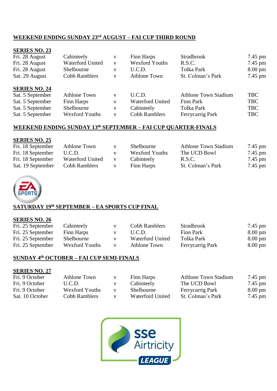## **WEEKEND ENDING SUNDAY 23 rd AUGUST – FAI CUP THIRD ROUND**

| <b>SERIES NO. 23</b> |                         |              |                         |                             |                   |
|----------------------|-------------------------|--------------|-------------------------|-----------------------------|-------------------|
| Fri. 28 August       | Cabinteely              | V            | Finn Harps              | <b>Stradbrook</b>           | 7.45 pm           |
| Fri. 28 August       | <b>Waterford United</b> | $\mathbf{V}$ | <b>Wexford Youths</b>   | R.S.C.                      | $7.45$ pm         |
| Fri. 28 August       | Shelbourne              | V            | U.C.D.                  | <b>Tolka Park</b>           | $8.00 \text{ pm}$ |
| Sat. 29 August       | <b>Cobh Ramblers</b>    | V            | <b>Athlone Town</b>     | St. Colman's Park           | $7.45$ pm         |
| <b>SERIES NO. 24</b> |                         |              |                         |                             |                   |
| Sat. 5 September     | <b>Athlone Town</b>     | $\mathbf{V}$ | U.C.D.                  | <b>Athlone Town Stadium</b> | <b>TBC</b>        |
| Sat. 5 September     | Finn Harps              | $\mathbf{V}$ | <b>Waterford United</b> | Finn Park                   | <b>TBC</b>        |
| Sat. 5 September     | Shelbourne              | V            | Cabinteely              | Tolka Park                  | <b>TBC</b>        |
| Sat. 5 September     | <b>Wexford Youths</b>   | V            | <b>Cobh Ramblers</b>    | Ferrycarrig Park            | <b>TBC</b>        |

#### **WEEKEND ENDING SUNDAY 13 th SEPTEMBER – FAI CUP QUARTER-FINALS**

#### **SERIES NO. 25**

| Fri. 18 September | Athlone Town     | V | <b>Shelbourne</b>     | <b>Athlone Town Stadium</b> | $7.45$ pm |
|-------------------|------------------|---|-----------------------|-----------------------------|-----------|
| Fri. 18 September | U.C.D.           |   | <b>Wexford Youths</b> | The UCD Bowl                | $7.45$ pm |
| Fri. 18 September | Waterford United |   | Cabinteely            | R.S.C.                      | $7.45$ pm |
| Sat. 19 September | Cobh Ramblers    |   | Finn Harps            | St. Colman's Park           | $7.45$ pm |



## **SATURDAY 19th SEPTEMBER – EA SPORTS CUP FINAL**

#### **SERIES NO. 26**

| Fri. 25 September | Cabinteely            | Cobh Ramblers    | Stradbrook       | 7.45 pm           |
|-------------------|-----------------------|------------------|------------------|-------------------|
| Fri. 25 September | Finn Harps            | U.C.D.           | Finn Park        | $8.00 \text{ pm}$ |
| Fri. 25 September | Shelbourne            | Waterford United | Tolka Park       | $8.00 \text{ pm}$ |
| Fri. 25 September | <b>Wexford Youths</b> | Athlone Town     | Ferrycarrig Park | $8.00 \text{ pm}$ |
|                   |                       |                  |                  |                   |

## **SUNDAY 4th OCTOBER – FAI CUP SEMI-FINALS**

| Fri. 9 October  | Athlone Town          | v | Finn Harps       | <b>Athlone Town Stadium</b> | 7.45 pm           |
|-----------------|-----------------------|---|------------------|-----------------------------|-------------------|
| Fri. 9 October  | U.C.D.                | v | Cabinteely       | The UCD Bowl                | $7.45$ pm         |
| Fri. 9 October  | <b>Wexford Youths</b> |   | Shelbourne       | Ferrycarrig Park            | $8.00 \text{ pm}$ |
| Sat. 10 October | Cobh Ramblers         | v | Waterford United | St. Colman's Park           | $7.45$ pm         |